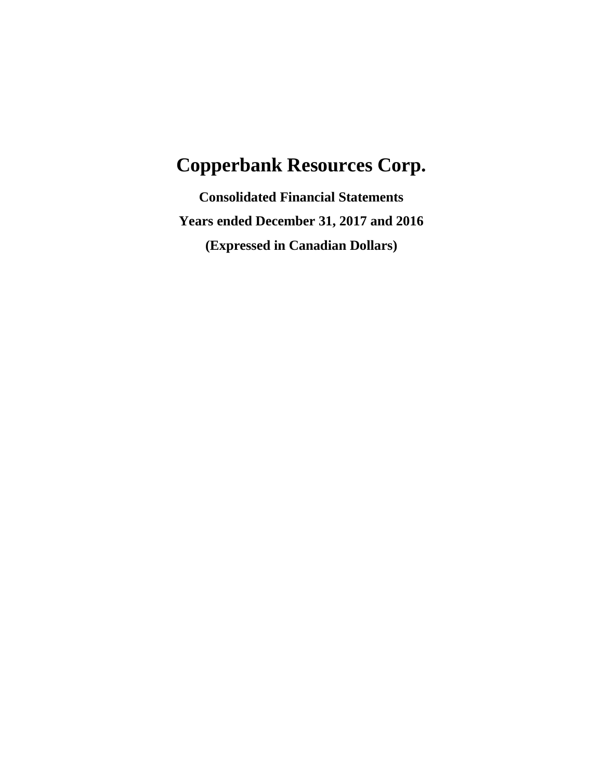# **Copperbank Resources Corp.**

**Consolidated Financial Statements Years ended December 31, 2017 and 2016 (Expressed in Canadian Dollars)**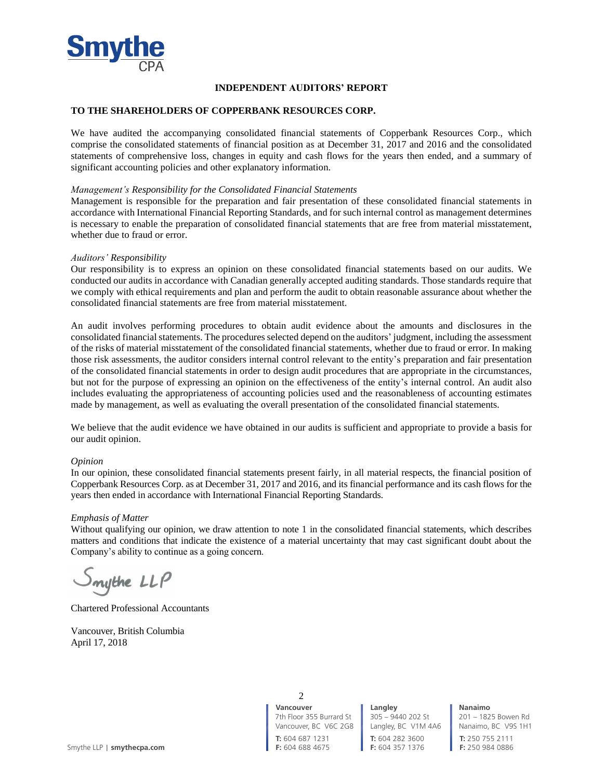

# **INDEPENDENT AUDITORS' REPORT**

#### **TO THE SHAREHOLDERS OF COPPERBANK RESOURCES CORP.**

We have audited the accompanying consolidated financial statements of Copperbank Resources Corp., which comprise the consolidated statements of financial position as at December 31, 2017 and 2016 and the consolidated statements of comprehensive loss, changes in equity and cash flows for the years then ended, and a summary of significant accounting policies and other explanatory information.

#### *Management's Responsibility for the Consolidated Financial Statements*

Management is responsible for the preparation and fair presentation of these consolidated financial statements in accordance with International Financial Reporting Standards, and for such internal control as management determines is necessary to enable the preparation of consolidated financial statements that are free from material misstatement, whether due to fraud or error.

#### *Auditors' Responsibility*

Our responsibility is to express an opinion on these consolidated financial statements based on our audits. We conducted our audits in accordance with Canadian generally accepted auditing standards. Those standards require that we comply with ethical requirements and plan and perform the audit to obtain reasonable assurance about whether the consolidated financial statements are free from material misstatement.

An audit involves performing procedures to obtain audit evidence about the amounts and disclosures in the consolidated financial statements. The procedures selected depend on the auditors' judgment, including the assessment of the risks of material misstatement of the consolidated financial statements, whether due to fraud or error. In making those risk assessments, the auditor considers internal control relevant to the entity's preparation and fair presentation of the consolidated financial statements in order to design audit procedures that are appropriate in the circumstances, but not for the purpose of expressing an opinion on the effectiveness of the entity's internal control. An audit also includes evaluating the appropriateness of accounting policies used and the reasonableness of accounting estimates made by management, as well as evaluating the overall presentation of the consolidated financial statements.

We believe that the audit evidence we have obtained in our audits is sufficient and appropriate to provide a basis for our audit opinion.

#### *Opinion*

In our opinion, these consolidated financial statements present fairly, in all material respects, the financial position of Copperbank Resources Corp. as at December 31, 2017 and 2016, and its financial performance and its cash flows for the years then ended in accordance with International Financial Reporting Standards.

#### *Emphasis of Matter*

Without qualifying our opinion, we draw attention to note 1 in the consolidated financial statements, which describes matters and conditions that indicate the existence of a material uncertainty that may cast significant doubt about the Company's ability to continue as a going concern.

 $\Omega$ muthe LLP

Chartered Professional Accountants

Vancouver, British Columbia April 17, 2018

> **Vancouver** 7th Floor 355 Burrard St Vancouver, BC V6C 2G8 2

**T:** 604 687 1231

**T:** 604 282 3600 **F:** 604 357 1376 **Langley** 305 – 9440 202 St Langley, BC V1M 4A6 **Nanaimo**

201 – 1825 Bowen Rd Nanaimo, BC V9S 1H1 **T:** 250 755 2111 **F:** 250 984 0886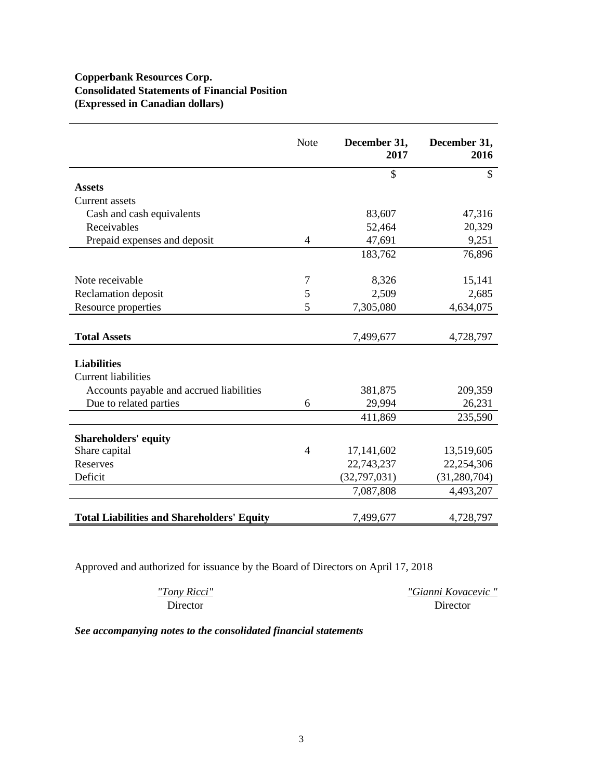# **Copperbank Resources Corp. Consolidated Statements of Financial Position (Expressed in Canadian dollars)**

|                                                   | <b>Note</b> | December 31,<br>2017 | December 31,<br>2016 |
|---------------------------------------------------|-------------|----------------------|----------------------|
|                                                   |             | \$                   | \$                   |
| <b>Assets</b>                                     |             |                      |                      |
| Current assets                                    |             |                      |                      |
| Cash and cash equivalents                         |             | 83,607               | 47,316               |
| Receivables                                       |             | 52,464               | 20,329               |
| Prepaid expenses and deposit                      | 4           | 47,691               | 9,251                |
|                                                   |             | 183,762              | 76,896               |
| Note receivable                                   | 7           | 8,326                | 15,141               |
| Reclamation deposit                               | 5           | 2,509                | 2,685                |
| Resource properties                               | 5           | 7,305,080            | 4,634,075            |
| <b>Total Assets</b>                               |             | 7,499,677            | 4,728,797            |
| <b>Liabilities</b>                                |             |                      |                      |
| <b>Current liabilities</b>                        |             |                      |                      |
| Accounts payable and accrued liabilities          |             | 381,875              | 209,359              |
| Due to related parties                            | 6           | 29,994               | 26,231               |
|                                                   |             | 411,869              | 235,590              |
| <b>Shareholders' equity</b>                       |             |                      |                      |
| Share capital                                     | 4           | 17,141,602           | 13,519,605           |
| Reserves                                          |             | 22,743,237           | 22,254,306           |
| Deficit                                           |             | (32, 797, 031)       | (31, 280, 704)       |
|                                                   |             | 7,087,808            | 4,493,207            |
| <b>Total Liabilities and Shareholders' Equity</b> |             | 7,499,677            | 4,728,797            |

Approved and authorized for issuance by the Board of Directors on April 17, 2018

| "Tony Ricci" | "Gianni Kovacevic " |
|--------------|---------------------|
| Director     | Director            |

*See accompanying notes to the consolidated financial statements*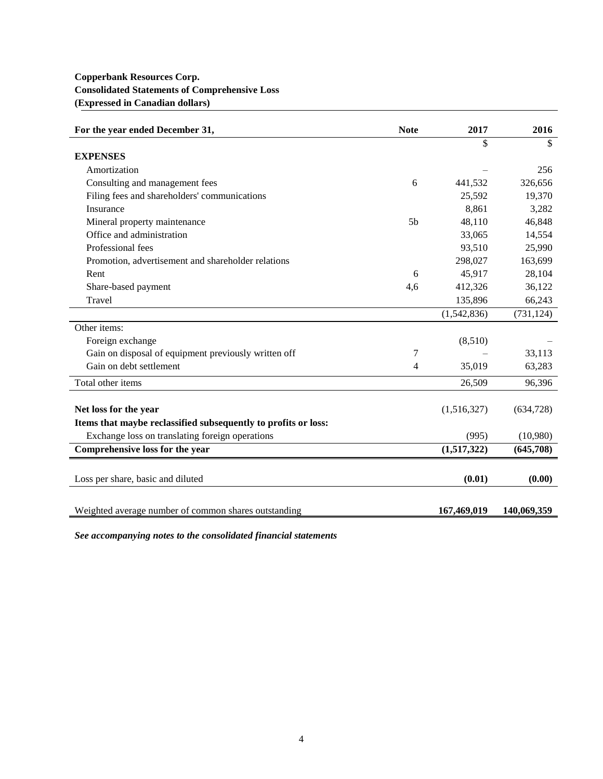# **Copperbank Resources Corp. Consolidated Statements of Comprehensive Loss (Expressed in Canadian dollars)**

| For the year ended December 31,                                | <b>Note</b>    | 2017        | 2016          |
|----------------------------------------------------------------|----------------|-------------|---------------|
|                                                                |                | \$          | $\mathcal{S}$ |
| <b>EXPENSES</b>                                                |                |             |               |
| Amortization                                                   |                |             | 256           |
| Consulting and management fees                                 | 6              | 441,532     | 326,656       |
| Filing fees and shareholders' communications                   |                | 25,592      | 19,370        |
| Insurance                                                      |                | 8,861       | 3,282         |
| Mineral property maintenance                                   | 5 <sub>b</sub> | 48,110      | 46,848        |
| Office and administration                                      |                | 33,065      | 14,554        |
| Professional fees                                              |                | 93,510      | 25,990        |
| Promotion, advertisement and shareholder relations             |                | 298,027     | 163,699       |
| Rent                                                           | 6              | 45,917      | 28,104        |
| Share-based payment                                            | 4,6            | 412,326     | 36,122        |
| Travel                                                         |                | 135,896     | 66,243        |
|                                                                |                | (1,542,836) | (731, 124)    |
| Other items:                                                   |                |             |               |
| Foreign exchange                                               |                | (8,510)     |               |
| Gain on disposal of equipment previously written off           | 7              |             | 33,113        |
| Gain on debt settlement                                        | $\overline{4}$ | 35,019      | 63,283        |
| Total other items                                              |                | 26,509      | 96,396        |
|                                                                |                |             |               |
| Net loss for the year                                          |                | (1,516,327) | (634, 728)    |
| Items that maybe reclassified subsequently to profits or loss: |                |             |               |
| Exchange loss on translating foreign operations                |                | (995)       | (10,980)      |
| Comprehensive loss for the year                                |                | (1,517,322) | (645,708)     |
|                                                                |                |             |               |
| Loss per share, basic and diluted                              |                | (0.01)      | (0.00)        |
|                                                                |                |             |               |
| Weighted average number of common shares outstanding           |                | 167,469,019 | 140,069,359   |

*See accompanying notes to the consolidated financial statements*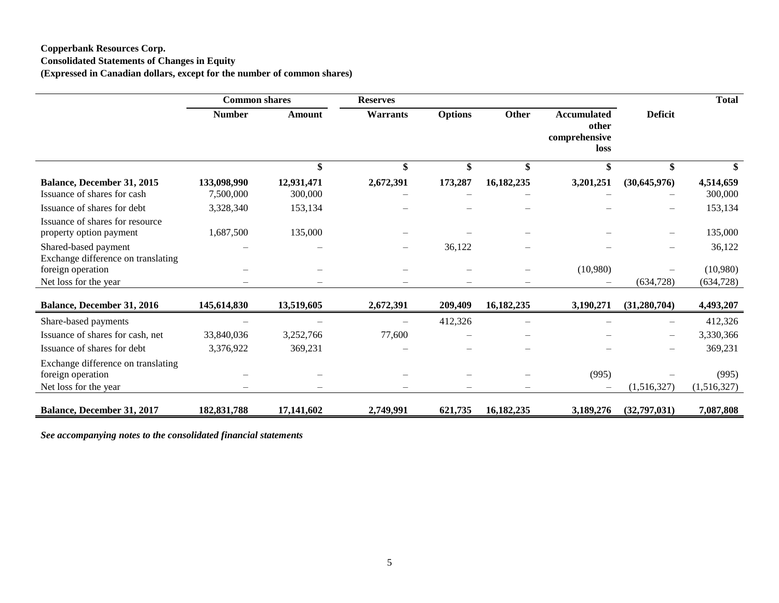# **Copperbank Resources Corp.**

**Consolidated Statements of Changes in Equity**

**(Expressed in Canadian dollars, except for the number of common shares)**

|                                                                                  | <b>Common shares</b>     |                       | <b>Reserves</b> |                |            |                                                      |                          | <b>Total</b>         |
|----------------------------------------------------------------------------------|--------------------------|-----------------------|-----------------|----------------|------------|------------------------------------------------------|--------------------------|----------------------|
|                                                                                  | <b>Number</b>            | Amount                | <b>Warrants</b> | <b>Options</b> | Other      | <b>Accumulated</b><br>other<br>comprehensive<br>loss | <b>Deficit</b>           |                      |
|                                                                                  |                          | \$                    | \$              | \$             |            | \$                                                   |                          |                      |
| Balance, December 31, 2015<br>Issuance of shares for cash                        | 133,098,990<br>7,500,000 | 12,931,471<br>300,000 | 2,672,391       | 173,287        | 16,182,235 | 3,201,251                                            | (30, 645, 976)           | 4,514,659<br>300,000 |
| Issuance of shares for debt                                                      | 3,328,340                | 153,134               |                 |                |            |                                                      |                          | 153,134              |
| Issuance of shares for resource<br>property option payment                       | 1,687,500                | 135,000               |                 |                |            |                                                      |                          | 135,000              |
| Shared-based payment<br>Exchange difference on translating                       |                          |                       |                 | 36,122         |            |                                                      |                          | 36,122               |
| foreign operation                                                                |                          |                       |                 |                |            | (10,980)                                             |                          | (10,980)             |
| Net loss for the year                                                            |                          |                       |                 |                |            |                                                      | (634, 728)               | (634, 728)           |
| Balance, December 31, 2016                                                       | 145,614,830              | 13,519,605            | 2,672,391       | 209,409        | 16,182,235 | 3,190,271                                            | (31, 280, 704)           | 4,493,207            |
| Share-based payments                                                             |                          |                       |                 | 412,326        |            |                                                      | $\overline{\phantom{0}}$ | 412,326              |
| Issuance of shares for cash, net                                                 | 33,840,036               | 3,252,766             | 77,600          |                |            |                                                      |                          | 3,330,366            |
| Issuance of shares for debt                                                      | 3,376,922                | 369,231               |                 |                |            |                                                      |                          | 369,231              |
| Exchange difference on translating<br>foreign operation<br>Net loss for the year |                          |                       |                 |                | —          | (995)<br>$\qquad \qquad -$                           | (1,516,327)              | (995)<br>(1,516,327) |
|                                                                                  |                          |                       |                 |                |            |                                                      |                          |                      |
| Balance, December 31, 2017                                                       | 182,831,788              | 17,141,602            | 2,749,991       | 621,735        | 16,182,235 | 3,189,276                                            | (32,797,031)             | 7,087,808            |

*See accompanying notes to the consolidated financial statements*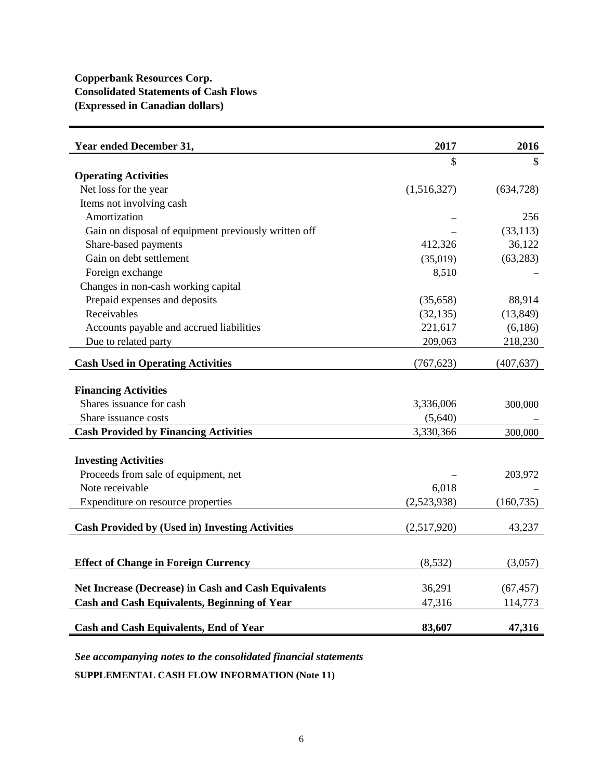# **Copperbank Resources Corp. Consolidated Statements of Cash Flows (Expressed in Canadian dollars)**

| Year ended December 31,                                     | 2017        | 2016       |
|-------------------------------------------------------------|-------------|------------|
|                                                             | \$          | \$         |
| <b>Operating Activities</b>                                 |             |            |
| Net loss for the year                                       | (1,516,327) | (634, 728) |
| Items not involving cash                                    |             |            |
| Amortization                                                |             | 256        |
| Gain on disposal of equipment previously written off        |             | (33, 113)  |
| Share-based payments                                        | 412,326     | 36,122     |
| Gain on debt settlement                                     | (35,019)    | (63, 283)  |
| Foreign exchange                                            | 8,510       |            |
| Changes in non-cash working capital                         |             |            |
| Prepaid expenses and deposits                               | (35, 658)   | 88,914     |
| Receivables                                                 | (32, 135)   | (13, 849)  |
| Accounts payable and accrued liabilities                    | 221,617     | (6, 186)   |
| Due to related party                                        | 209,063     | 218,230    |
| <b>Cash Used in Operating Activities</b>                    | (767, 623)  | (407, 637) |
|                                                             |             |            |
| <b>Financing Activities</b>                                 |             |            |
| Shares issuance for cash                                    | 3,336,006   | 300,000    |
| Share issuance costs                                        | (5,640)     |            |
| <b>Cash Provided by Financing Activities</b>                | 3,330,366   | 300,000    |
|                                                             |             |            |
| <b>Investing Activities</b>                                 |             |            |
| Proceeds from sale of equipment, net                        |             | 203,972    |
| Note receivable                                             | 6,018       |            |
| Expenditure on resource properties                          | (2,523,938) | (160, 735) |
|                                                             |             |            |
| <b>Cash Provided by (Used in) Investing Activities</b>      | (2,517,920) | 43,237     |
|                                                             |             |            |
| <b>Effect of Change in Foreign Currency</b>                 | (8, 532)    | (3,057)    |
|                                                             |             |            |
| <b>Net Increase (Decrease) in Cash and Cash Equivalents</b> | 36,291      | (67, 457)  |
| <b>Cash and Cash Equivalents, Beginning of Year</b>         | 47,316      | 114,773    |
|                                                             |             |            |
| <b>Cash and Cash Equivalents, End of Year</b>               | 83,607      | 47,316     |

*See accompanying notes to the consolidated financial statements*

**SUPPLEMENTAL CASH FLOW INFORMATION (Note 11)**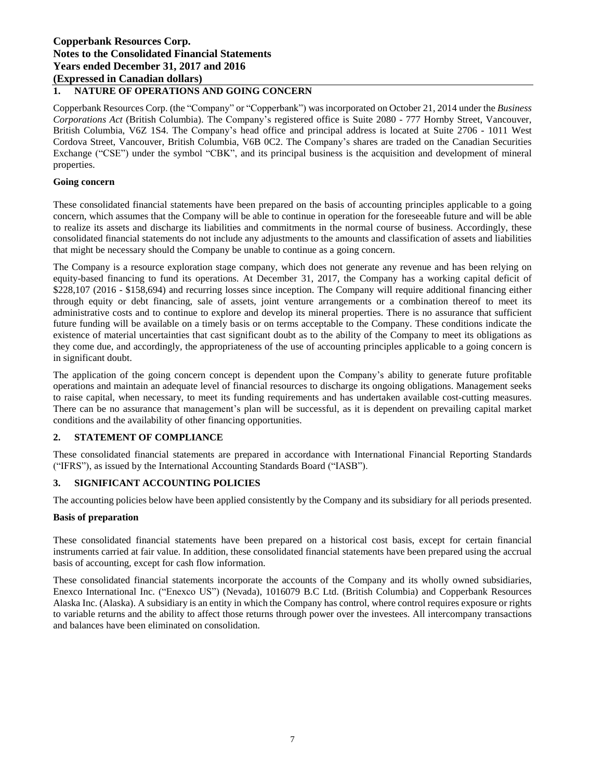# **1. NATURE OF OPERATIONS AND GOING CONCERN**

Copperbank Resources Corp. (the "Company" or "Copperbank") was incorporated on October 21, 2014 under the *Business Corporations Act* (British Columbia). The Company's registered office is Suite 2080 - 777 Hornby Street, Vancouver, British Columbia, V6Z 1S4. The Company's head office and principal address is located at Suite 2706 - 1011 West Cordova Street, Vancouver, British Columbia, V6B 0C2. The Company's shares are traded on the Canadian Securities Exchange ("CSE") under the symbol "CBK", and its principal business is the acquisition and development of mineral properties.

# **Going concern**

These consolidated financial statements have been prepared on the basis of accounting principles applicable to a going concern, which assumes that the Company will be able to continue in operation for the foreseeable future and will be able to realize its assets and discharge its liabilities and commitments in the normal course of business. Accordingly, these consolidated financial statements do not include any adjustments to the amounts and classification of assets and liabilities that might be necessary should the Company be unable to continue as a going concern.

The Company is a resource exploration stage company, which does not generate any revenue and has been relying on equity-based financing to fund its operations. At December 31, 2017, the Company has a working capital deficit of \$228,107 (2016 - \$158,694) and recurring losses since inception. The Company will require additional financing either through equity or debt financing, sale of assets, joint venture arrangements or a combination thereof to meet its administrative costs and to continue to explore and develop its mineral properties. There is no assurance that sufficient future funding will be available on a timely basis or on terms acceptable to the Company. These conditions indicate the existence of material uncertainties that cast significant doubt as to the ability of the Company to meet its obligations as they come due, and accordingly, the appropriateness of the use of accounting principles applicable to a going concern is in significant doubt.

The application of the going concern concept is dependent upon the Company's ability to generate future profitable operations and maintain an adequate level of financial resources to discharge its ongoing obligations. Management seeks to raise capital, when necessary, to meet its funding requirements and has undertaken available cost-cutting measures. There can be no assurance that management's plan will be successful, as it is dependent on prevailing capital market conditions and the availability of other financing opportunities.

# **2. STATEMENT OF COMPLIANCE**

These consolidated financial statements are prepared in accordance with International Financial Reporting Standards ("IFRS"), as issued by the International Accounting Standards Board ("IASB").

#### **3. SIGNIFICANT ACCOUNTING POLICIES**

The accounting policies below have been applied consistently by the Company and its subsidiary for all periods presented.

#### **Basis of preparation**

These consolidated financial statements have been prepared on a historical cost basis, except for certain financial instruments carried at fair value. In addition, these consolidated financial statements have been prepared using the accrual basis of accounting, except for cash flow information.

These consolidated financial statements incorporate the accounts of the Company and its wholly owned subsidiaries, Enexco International Inc. ("Enexco US") (Nevada), 1016079 B.C Ltd. (British Columbia) and Copperbank Resources Alaska Inc. (Alaska). A subsidiary is an entity in which the Company has control, where control requires exposure or rights to variable returns and the ability to affect those returns through power over the investees. All intercompany transactions and balances have been eliminated on consolidation.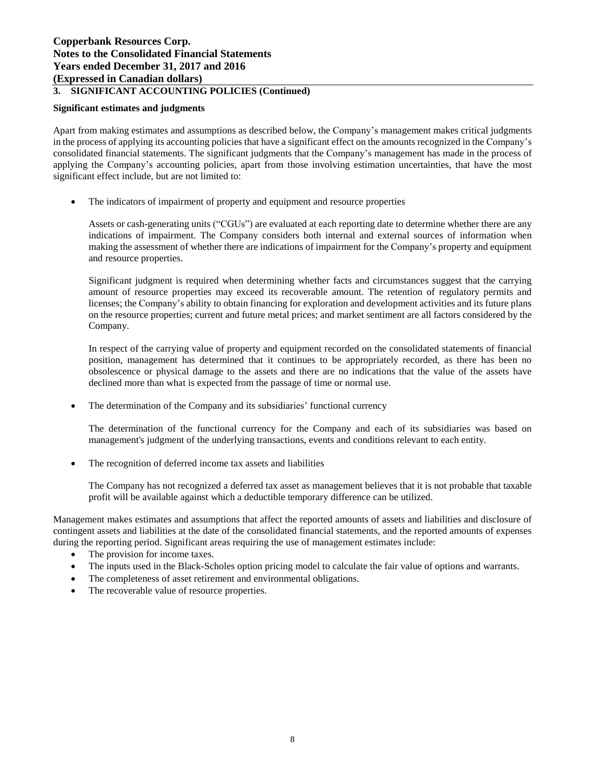# **3. SIGNIFICANT ACCOUNTING POLICIES (Continued)**

# **Significant estimates and judgments**

Apart from making estimates and assumptions as described below, the Company's management makes critical judgments in the process of applying its accounting policies that have a significant effect on the amounts recognized in the Company's consolidated financial statements. The significant judgments that the Company's management has made in the process of applying the Company's accounting policies, apart from those involving estimation uncertainties, that have the most significant effect include, but are not limited to:

The indicators of impairment of property and equipment and resource properties

Assets or cash-generating units ("CGUs") are evaluated at each reporting date to determine whether there are any indications of impairment. The Company considers both internal and external sources of information when making the assessment of whether there are indications of impairment for the Company's property and equipment and resource properties.

Significant judgment is required when determining whether facts and circumstances suggest that the carrying amount of resource properties may exceed its recoverable amount. The retention of regulatory permits and licenses; the Company's ability to obtain financing for exploration and development activities and its future plans on the resource properties; current and future metal prices; and market sentiment are all factors considered by the Company.

In respect of the carrying value of property and equipment recorded on the consolidated statements of financial position, management has determined that it continues to be appropriately recorded, as there has been no obsolescence or physical damage to the assets and there are no indications that the value of the assets have declined more than what is expected from the passage of time or normal use.

The determination of the Company and its subsidiaries' functional currency

The determination of the functional currency for the Company and each of its subsidiaries was based on management's judgment of the underlying transactions, events and conditions relevant to each entity.

The recognition of deferred income tax assets and liabilities

The Company has not recognized a deferred tax asset as management believes that it is not probable that taxable profit will be available against which a deductible temporary difference can be utilized.

Management makes estimates and assumptions that affect the reported amounts of assets and liabilities and disclosure of contingent assets and liabilities at the date of the consolidated financial statements, and the reported amounts of expenses during the reporting period. Significant areas requiring the use of management estimates include:

- The provision for income taxes.
- The inputs used in the Black-Scholes option pricing model to calculate the fair value of options and warrants.
- The completeness of asset retirement and environmental obligations.
- The recoverable value of resource properties.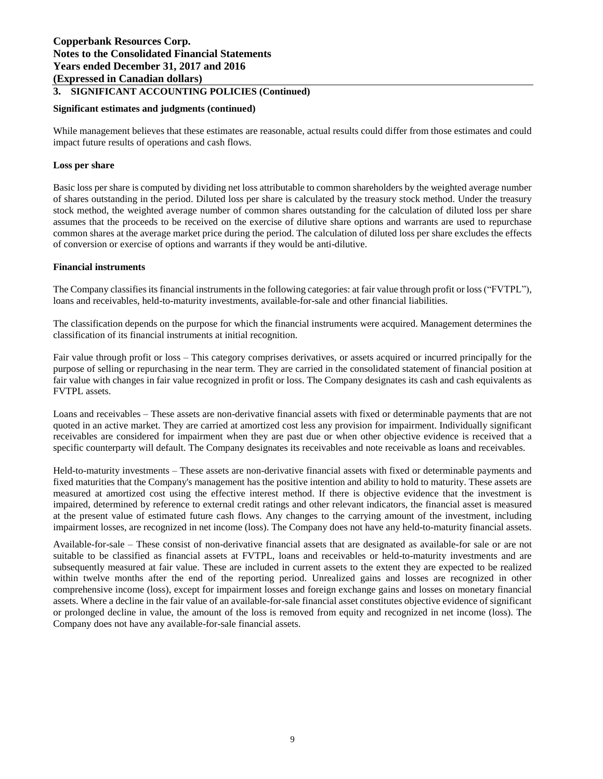# **3. SIGNIFICANT ACCOUNTING POLICIES (Continued)**

#### **Significant estimates and judgments (continued)**

While management believes that these estimates are reasonable, actual results could differ from those estimates and could impact future results of operations and cash flows.

#### **Loss per share**

Basic loss per share is computed by dividing net loss attributable to common shareholders by the weighted average number of shares outstanding in the period. Diluted loss per share is calculated by the treasury stock method. Under the treasury stock method, the weighted average number of common shares outstanding for the calculation of diluted loss per share assumes that the proceeds to be received on the exercise of dilutive share options and warrants are used to repurchase common shares at the average market price during the period. The calculation of diluted loss per share excludes the effects of conversion or exercise of options and warrants if they would be anti-dilutive.

#### **Financial instruments**

The Company classifies its financial instruments in the following categories: at fair value through profit or loss ("FVTPL"), loans and receivables, held-to-maturity investments, available-for-sale and other financial liabilities.

The classification depends on the purpose for which the financial instruments were acquired. Management determines the classification of its financial instruments at initial recognition.

Fair value through profit or loss – This category comprises derivatives, or assets acquired or incurred principally for the purpose of selling or repurchasing in the near term. They are carried in the consolidated statement of financial position at fair value with changes in fair value recognized in profit or loss. The Company designates its cash and cash equivalents as FVTPL assets.

Loans and receivables – These assets are non-derivative financial assets with fixed or determinable payments that are not quoted in an active market. They are carried at amortized cost less any provision for impairment. Individually significant receivables are considered for impairment when they are past due or when other objective evidence is received that a specific counterparty will default. The Company designates its receivables and note receivable as loans and receivables.

Held-to-maturity investments – These assets are non-derivative financial assets with fixed or determinable payments and fixed maturities that the Company's management has the positive intention and ability to hold to maturity. These assets are measured at amortized cost using the effective interest method. If there is objective evidence that the investment is impaired, determined by reference to external credit ratings and other relevant indicators, the financial asset is measured at the present value of estimated future cash flows. Any changes to the carrying amount of the investment, including impairment losses, are recognized in net income (loss). The Company does not have any held-to-maturity financial assets.

Available-for-sale – These consist of non-derivative financial assets that are designated as available-for sale or are not suitable to be classified as financial assets at FVTPL, loans and receivables or held-to-maturity investments and are subsequently measured at fair value. These are included in current assets to the extent they are expected to be realized within twelve months after the end of the reporting period. Unrealized gains and losses are recognized in other comprehensive income (loss), except for impairment losses and foreign exchange gains and losses on monetary financial assets. Where a decline in the fair value of an available-for-sale financial asset constitutes objective evidence of significant or prolonged decline in value, the amount of the loss is removed from equity and recognized in net income (loss). The Company does not have any available-for-sale financial assets.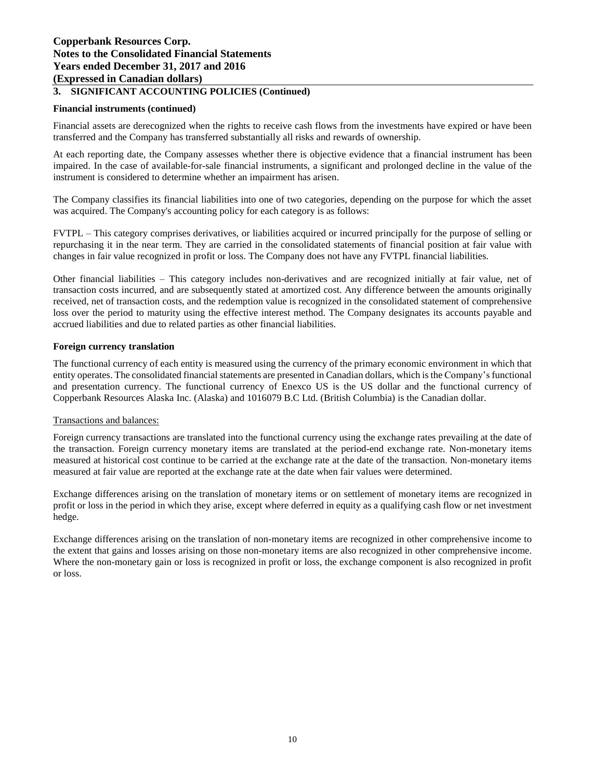# **3. SIGNIFICANT ACCOUNTING POLICIES (Continued)**

#### **Financial instruments (continued)**

Financial assets are derecognized when the rights to receive cash flows from the investments have expired or have been transferred and the Company has transferred substantially all risks and rewards of ownership.

At each reporting date, the Company assesses whether there is objective evidence that a financial instrument has been impaired. In the case of available-for-sale financial instruments, a significant and prolonged decline in the value of the instrument is considered to determine whether an impairment has arisen.

The Company classifies its financial liabilities into one of two categories, depending on the purpose for which the asset was acquired. The Company's accounting policy for each category is as follows:

FVTPL – This category comprises derivatives, or liabilities acquired or incurred principally for the purpose of selling or repurchasing it in the near term. They are carried in the consolidated statements of financial position at fair value with changes in fair value recognized in profit or loss. The Company does not have any FVTPL financial liabilities.

Other financial liabilities – This category includes non-derivatives and are recognized initially at fair value, net of transaction costs incurred, and are subsequently stated at amortized cost. Any difference between the amounts originally received, net of transaction costs, and the redemption value is recognized in the consolidated statement of comprehensive loss over the period to maturity using the effective interest method. The Company designates its accounts payable and accrued liabilities and due to related parties as other financial liabilities.

# **Foreign currency translation**

The functional currency of each entity is measured using the currency of the primary economic environment in which that entity operates. The consolidated financial statements are presented in Canadian dollars, which isthe Company's functional and presentation currency. The functional currency of Enexco US is the US dollar and the functional currency of Copperbank Resources Alaska Inc. (Alaska) and 1016079 B.C Ltd. (British Columbia) is the Canadian dollar.

#### Transactions and balances:

Foreign currency transactions are translated into the functional currency using the exchange rates prevailing at the date of the transaction. Foreign currency monetary items are translated at the period-end exchange rate. Non-monetary items measured at historical cost continue to be carried at the exchange rate at the date of the transaction. Non-monetary items measured at fair value are reported at the exchange rate at the date when fair values were determined.

Exchange differences arising on the translation of monetary items or on settlement of monetary items are recognized in profit or loss in the period in which they arise, except where deferred in equity as a qualifying cash flow or net investment hedge.

Exchange differences arising on the translation of non-monetary items are recognized in other comprehensive income to the extent that gains and losses arising on those non-monetary items are also recognized in other comprehensive income. Where the non-monetary gain or loss is recognized in profit or loss, the exchange component is also recognized in profit or loss.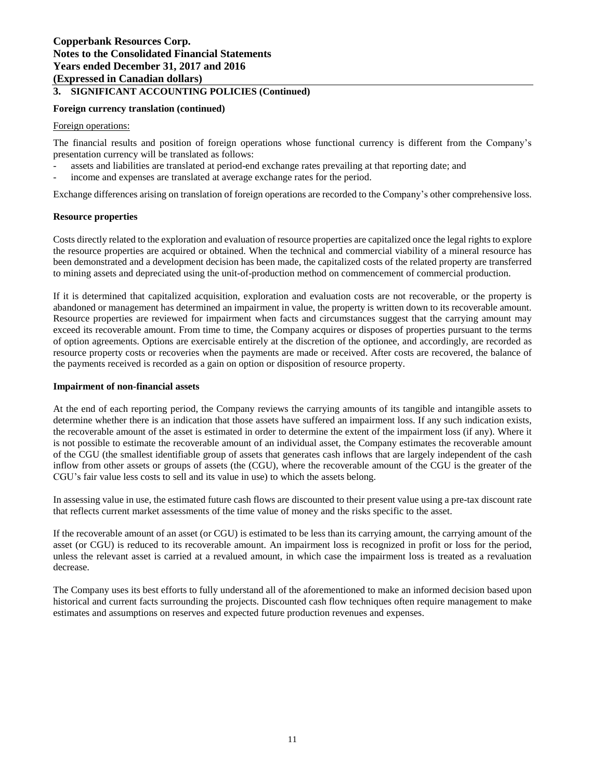# **3. SIGNIFICANT ACCOUNTING POLICIES (Continued)**

#### **Foreign currency translation (continued)**

#### Foreign operations:

The financial results and position of foreign operations whose functional currency is different from the Company's presentation currency will be translated as follows:

- assets and liabilities are translated at period-end exchange rates prevailing at that reporting date; and
- income and expenses are translated at average exchange rates for the period.

Exchange differences arising on translation of foreign operations are recorded to the Company's other comprehensive loss.

# **Resource properties**

Costs directly related to the exploration and evaluation of resource properties are capitalized once the legal rights to explore the resource properties are acquired or obtained. When the technical and commercial viability of a mineral resource has been demonstrated and a development decision has been made, the capitalized costs of the related property are transferred to mining assets and depreciated using the unit-of-production method on commencement of commercial production.

If it is determined that capitalized acquisition, exploration and evaluation costs are not recoverable, or the property is abandoned or management has determined an impairment in value, the property is written down to its recoverable amount. Resource properties are reviewed for impairment when facts and circumstances suggest that the carrying amount may exceed its recoverable amount. From time to time, the Company acquires or disposes of properties pursuant to the terms of option agreements. Options are exercisable entirely at the discretion of the optionee, and accordingly, are recorded as resource property costs or recoveries when the payments are made or received. After costs are recovered, the balance of the payments received is recorded as a gain on option or disposition of resource property.

#### **Impairment of non-financial assets**

At the end of each reporting period, the Company reviews the carrying amounts of its tangible and intangible assets to determine whether there is an indication that those assets have suffered an impairment loss. If any such indication exists, the recoverable amount of the asset is estimated in order to determine the extent of the impairment loss (if any). Where it is not possible to estimate the recoverable amount of an individual asset, the Company estimates the recoverable amount of the CGU (the smallest identifiable group of assets that generates cash inflows that are largely independent of the cash inflow from other assets or groups of assets (the (CGU), where the recoverable amount of the CGU is the greater of the CGU's fair value less costs to sell and its value in use) to which the assets belong.

In assessing value in use, the estimated future cash flows are discounted to their present value using a pre-tax discount rate that reflects current market assessments of the time value of money and the risks specific to the asset.

If the recoverable amount of an asset (or CGU) is estimated to be less than its carrying amount, the carrying amount of the asset (or CGU) is reduced to its recoverable amount. An impairment loss is recognized in profit or loss for the period, unless the relevant asset is carried at a revalued amount, in which case the impairment loss is treated as a revaluation decrease.

The Company uses its best efforts to fully understand all of the aforementioned to make an informed decision based upon historical and current facts surrounding the projects. Discounted cash flow techniques often require management to make estimates and assumptions on reserves and expected future production revenues and expenses.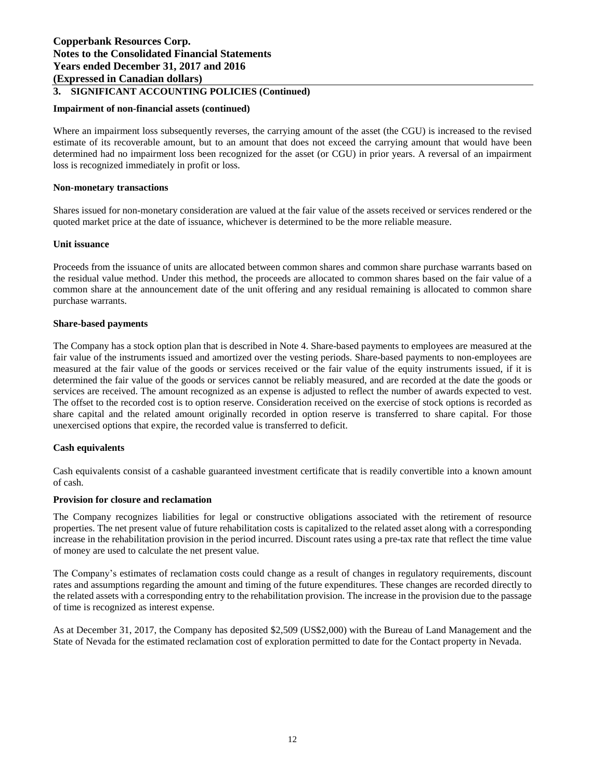# **3. SIGNIFICANT ACCOUNTING POLICIES (Continued)**

#### **Impairment of non-financial assets (continued)**

Where an impairment loss subsequently reverses, the carrying amount of the asset (the CGU) is increased to the revised estimate of its recoverable amount, but to an amount that does not exceed the carrying amount that would have been determined had no impairment loss been recognized for the asset (or CGU) in prior years. A reversal of an impairment loss is recognized immediately in profit or loss.

#### **Non-monetary transactions**

Shares issued for non-monetary consideration are valued at the fair value of the assets received or services rendered or the quoted market price at the date of issuance, whichever is determined to be the more reliable measure.

#### **Unit issuance**

Proceeds from the issuance of units are allocated between common shares and common share purchase warrants based on the residual value method. Under this method, the proceeds are allocated to common shares based on the fair value of a common share at the announcement date of the unit offering and any residual remaining is allocated to common share purchase warrants.

#### **Share-based payments**

The Company has a stock option plan that is described in Note 4. Share-based payments to employees are measured at the fair value of the instruments issued and amortized over the vesting periods. Share-based payments to non-employees are measured at the fair value of the goods or services received or the fair value of the equity instruments issued, if it is determined the fair value of the goods or services cannot be reliably measured, and are recorded at the date the goods or services are received. The amount recognized as an expense is adjusted to reflect the number of awards expected to vest. The offset to the recorded cost is to option reserve. Consideration received on the exercise of stock options is recorded as share capital and the related amount originally recorded in option reserve is transferred to share capital. For those unexercised options that expire, the recorded value is transferred to deficit.

#### **Cash equivalents**

Cash equivalents consist of a cashable guaranteed investment certificate that is readily convertible into a known amount of cash.

# **Provision for closure and reclamation**

The Company recognizes liabilities for legal or constructive obligations associated with the retirement of resource properties. The net present value of future rehabilitation costs is capitalized to the related asset along with a corresponding increase in the rehabilitation provision in the period incurred. Discount rates using a pre-tax rate that reflect the time value of money are used to calculate the net present value.

The Company's estimates of reclamation costs could change as a result of changes in regulatory requirements, discount rates and assumptions regarding the amount and timing of the future expenditures. These changes are recorded directly to the related assets with a corresponding entry to the rehabilitation provision. The increase in the provision due to the passage of time is recognized as interest expense.

As at December 31, 2017, the Company has deposited \$2,509 (US\$2,000) with the Bureau of Land Management and the State of Nevada for the estimated reclamation cost of exploration permitted to date for the Contact property in Nevada.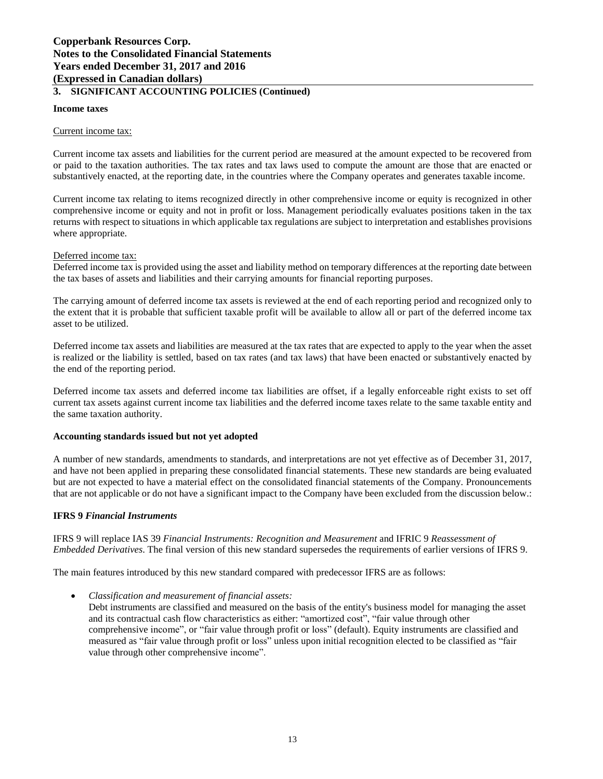# **3. SIGNIFICANT ACCOUNTING POLICIES (Continued)**

# **Income taxes**

# Current income tax:

Current income tax assets and liabilities for the current period are measured at the amount expected to be recovered from or paid to the taxation authorities. The tax rates and tax laws used to compute the amount are those that are enacted or substantively enacted, at the reporting date, in the countries where the Company operates and generates taxable income.

Current income tax relating to items recognized directly in other comprehensive income or equity is recognized in other comprehensive income or equity and not in profit or loss. Management periodically evaluates positions taken in the tax returns with respect to situations in which applicable tax regulations are subject to interpretation and establishes provisions where appropriate.

# Deferred income tax:

Deferred income tax is provided using the asset and liability method on temporary differences at the reporting date between the tax bases of assets and liabilities and their carrying amounts for financial reporting purposes.

The carrying amount of deferred income tax assets is reviewed at the end of each reporting period and recognized only to the extent that it is probable that sufficient taxable profit will be available to allow all or part of the deferred income tax asset to be utilized.

Deferred income tax assets and liabilities are measured at the tax rates that are expected to apply to the year when the asset is realized or the liability is settled, based on tax rates (and tax laws) that have been enacted or substantively enacted by the end of the reporting period.

Deferred income tax assets and deferred income tax liabilities are offset, if a legally enforceable right exists to set off current tax assets against current income tax liabilities and the deferred income taxes relate to the same taxable entity and the same taxation authority.

# **Accounting standards issued but not yet adopted**

A number of new standards, amendments to standards, and interpretations are not yet effective as of December 31, 2017, and have not been applied in preparing these consolidated financial statements. These new standards are being evaluated but are not expected to have a material effect on the consolidated financial statements of the Company. Pronouncements that are not applicable or do not have a significant impact to the Company have been excluded from the discussion below.:

# **IFRS 9** *Financial Instruments*

IFRS 9 will replace IAS 39 *Financial Instruments: Recognition and Measurement* and IFRIC 9 *Reassessment of Embedded Derivatives*. The final version of this new standard supersedes the requirements of earlier versions of IFRS 9.

The main features introduced by this new standard compared with predecessor IFRS are as follows:

• *Classification and measurement of financial assets:*

Debt instruments are classified and measured on the basis of the entity's business model for managing the asset and its contractual cash flow characteristics as either: "amortized cost", "fair value through other comprehensive income", or "fair value through profit or loss" (default). Equity instruments are classified and measured as "fair value through profit or loss" unless upon initial recognition elected to be classified as "fair value through other comprehensive income".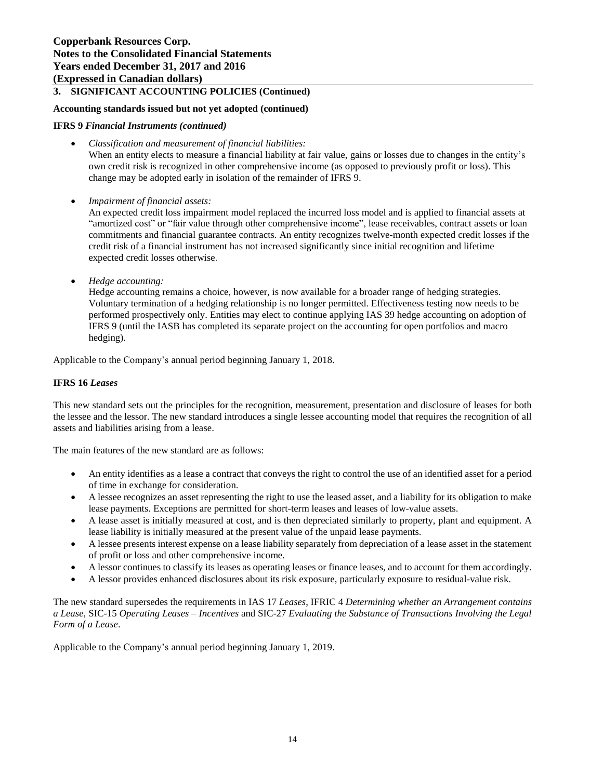# **3. SIGNIFICANT ACCOUNTING POLICIES (Continued)**

#### **Accounting standards issued but not yet adopted (continued)**

#### **IFRS 9** *Financial Instruments (continued)*

- *Classification and measurement of financial liabilities:* When an entity elects to measure a financial liability at fair value, gains or losses due to changes in the entity's own credit risk is recognized in other comprehensive income (as opposed to previously profit or loss). This change may be adopted early in isolation of the remainder of IFRS 9.
- *Impairment of financial assets:*

An expected credit loss impairment model replaced the incurred loss model and is applied to financial assets at "amortized cost" or "fair value through other comprehensive income", lease receivables, contract assets or loan commitments and financial guarantee contracts. An entity recognizes twelve-month expected credit losses if the credit risk of a financial instrument has not increased significantly since initial recognition and lifetime expected credit losses otherwise.

• *Hedge accounting:*

Hedge accounting remains a choice, however, is now available for a broader range of hedging strategies. Voluntary termination of a hedging relationship is no longer permitted. Effectiveness testing now needs to be performed prospectively only. Entities may elect to continue applying IAS 39 hedge accounting on adoption of IFRS 9 (until the IASB has completed its separate project on the accounting for open portfolios and macro hedging).

Applicable to the Company's annual period beginning January 1, 2018.

#### **IFRS 16** *Leases*

This new standard sets out the principles for the recognition, measurement, presentation and disclosure of leases for both the lessee and the lessor. The new standard introduces a single lessee accounting model that requires the recognition of all assets and liabilities arising from a lease.

The main features of the new standard are as follows:

- An entity identifies as a lease a contract that conveys the right to control the use of an identified asset for a period of time in exchange for consideration.
- A lessee recognizes an asset representing the right to use the leased asset, and a liability for its obligation to make lease payments. Exceptions are permitted for short-term leases and leases of low-value assets.
- A lease asset is initially measured at cost, and is then depreciated similarly to property, plant and equipment. A lease liability is initially measured at the present value of the unpaid lease payments.
- A lessee presents interest expense on a lease liability separately from depreciation of a lease asset in the statement of profit or loss and other comprehensive income.
- A lessor continues to classify its leases as operating leases or finance leases, and to account for them accordingly.
- A lessor provides enhanced disclosures about its risk exposure, particularly exposure to residual-value risk.

The new standard supersedes the requirements in IAS 17 *Leases*, IFRIC 4 *Determining whether an Arrangement contains a Lease*, SIC-15 *Operating Leases – Incentives* and SIC-27 *Evaluating the Substance of Transactions Involving the Legal Form of a Lease*.

Applicable to the Company's annual period beginning January 1, 2019.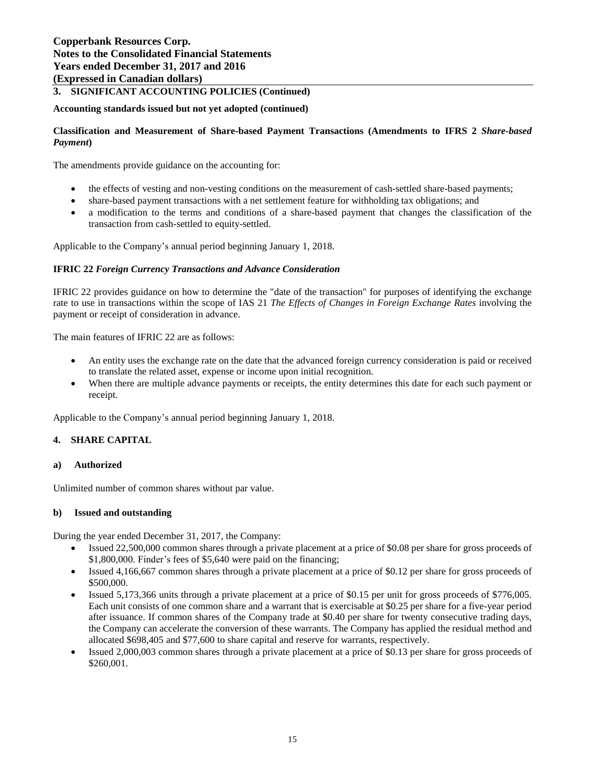# **3. SIGNIFICANT ACCOUNTING POLICIES (Continued)**

#### **Accounting standards issued but not yet adopted (continued)**

# **Classification and Measurement of Share-based Payment Transactions (Amendments to IFRS 2** *Share-based Payment***)**

The amendments provide guidance on the accounting for:

- the effects of vesting and non-vesting conditions on the measurement of cash-settled share-based payments;
- share-based payment transactions with a net settlement feature for withholding tax obligations; and
- a modification to the terms and conditions of a share-based payment that changes the classification of the transaction from cash-settled to equity-settled.

Applicable to the Company's annual period beginning January 1, 2018.

#### **IFRIC 22** *Foreign Currency Transactions and Advance Consideration*

IFRIC 22 provides guidance on how to determine the "date of the transaction" for purposes of identifying the exchange rate to use in transactions within the scope of IAS 21 *The Effects of Changes in Foreign Exchange Rates* involving the payment or receipt of consideration in advance.

The main features of IFRIC 22 are as follows:

- An entity uses the exchange rate on the date that the advanced foreign currency consideration is paid or received to translate the related asset, expense or income upon initial recognition.
- When there are multiple advance payments or receipts, the entity determines this date for each such payment or receipt.

Applicable to the Company's annual period beginning January 1, 2018.

#### **4. SHARE CAPITAL**

## **a) Authorized**

Unlimited number of common shares without par value.

#### **b) Issued and outstanding**

During the year ended December 31, 2017, the Company:

- Issued 22,500,000 common shares through a private placement at a price of \$0.08 per share for gross proceeds of \$1,800,000. Finder's fees of \$5,640 were paid on the financing;
- Issued 4,166,667 common shares through a private placement at a price of \$0.12 per share for gross proceeds of \$500,000.
- Issued 5,173,366 units through a private placement at a price of \$0.15 per unit for gross proceeds of \$776,005. Each unit consists of one common share and a warrant that is exercisable at \$0.25 per share for a five-year period after issuance. If common shares of the Company trade at \$0.40 per share for twenty consecutive trading days, the Company can accelerate the conversion of these warrants. The Company has applied the residual method and allocated \$698,405 and \$77,600 to share capital and reserve for warrants, respectively.
- Issued 2,000,003 common shares through a private placement at a price of \$0.13 per share for gross proceeds of \$260,001.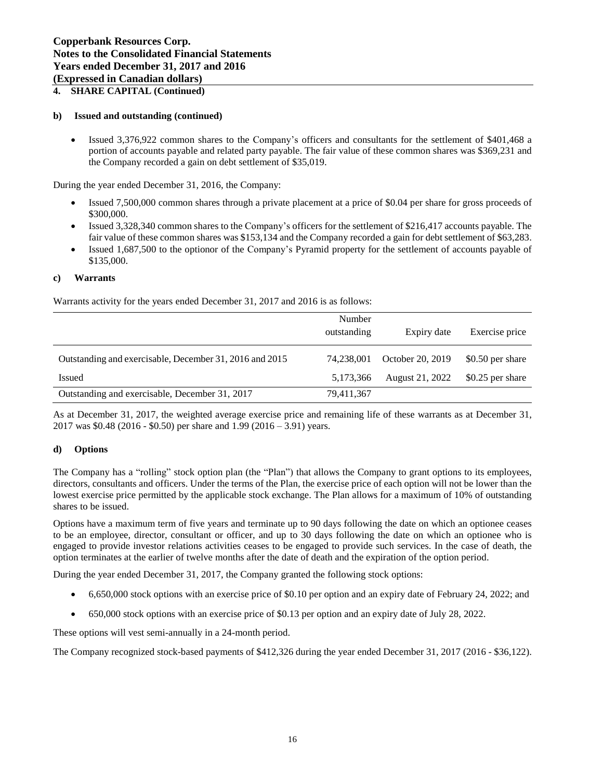# **4. SHARE CAPITAL (Continued)**

#### **b) Issued and outstanding (continued)**

• Issued 3,376,922 common shares to the Company's officers and consultants for the settlement of \$401,468 a portion of accounts payable and related party payable. The fair value of these common shares was \$369,231 and the Company recorded a gain on debt settlement of \$35,019.

During the year ended December 31, 2016, the Company:

- Issued 7,500,000 common shares through a private placement at a price of \$0.04 per share for gross proceeds of \$300,000.
- Issued 3,328,340 common shares to the Company's officers for the settlement of \$216,417 accounts payable. The fair value of these common shares was \$153,134 and the Company recorded a gain for debt settlement of \$63,283.
- Issued 1,687,500 to the optionor of the Company's Pyramid property for the settlement of accounts payable of \$135,000.

#### **c) Warrants**

Warrants activity for the years ended December 31, 2017 and 2016 is as follows:

|                                                         | Number<br>outstanding | Expiry date      | Exercise price   |
|---------------------------------------------------------|-----------------------|------------------|------------------|
| Outstanding and exercisable, December 31, 2016 and 2015 | 74,238,001            | October 20, 2019 | \$0.50 per share |
| Issued                                                  | 5,173,366             | August 21, 2022  | \$0.25 per share |
| Outstanding and exercisable, December 31, 2017          | 79,411,367            |                  |                  |

As at December 31, 2017, the weighted average exercise price and remaining life of these warrants as at December 31, 2017 was \$0.48 (2016 - \$0.50) per share and 1.99 (2016 – 3.91) years.

#### **d) Options**

The Company has a "rolling" stock option plan (the "Plan") that allows the Company to grant options to its employees, directors, consultants and officers. Under the terms of the Plan, the exercise price of each option will not be lower than the lowest exercise price permitted by the applicable stock exchange. The Plan allows for a maximum of 10% of outstanding shares to be issued.

Options have a maximum term of five years and terminate up to 90 days following the date on which an optionee ceases to be an employee, director, consultant or officer, and up to 30 days following the date on which an optionee who is engaged to provide investor relations activities ceases to be engaged to provide such services. In the case of death, the option terminates at the earlier of twelve months after the date of death and the expiration of the option period.

During the year ended December 31, 2017, the Company granted the following stock options:

- 6,650,000 stock options with an exercise price of \$0.10 per option and an expiry date of February 24, 2022; and
- 650,000 stock options with an exercise price of \$0.13 per option and an expiry date of July 28, 2022.

These options will vest semi-annually in a 24-month period.

The Company recognized stock-based payments of \$412,326 during the year ended December 31, 2017 (2016 - \$36,122).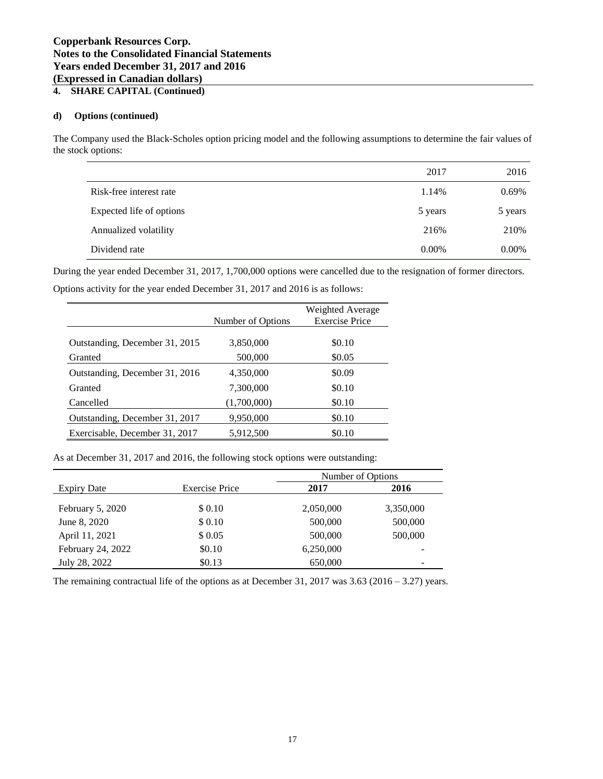# **4. SHARE CAPITAL (Continued)**

# **d) Options (continued)**

The Company used the Black-Scholes option pricing model and the following assumptions to determine the fair values of the stock options:

|                          | 2017     | 2016     |
|--------------------------|----------|----------|
| Risk-free interest rate  | 1.14%    | 0.69%    |
| Expected life of options | 5 years  | 5 years  |
| Annualized volatility    | 216%     | 210%     |
| Dividend rate            | $0.00\%$ | $0.00\%$ |

During the year ended December 31, 2017, 1,700,000 options were cancelled due to the resignation of former directors.

Options activity for the year ended December 31, 2017 and 2016 is as follows:

|                                | Number of Options | Weighted Average<br><b>Exercise Price</b> |
|--------------------------------|-------------------|-------------------------------------------|
|                                |                   |                                           |
| Outstanding, December 31, 2015 | 3,850,000         | \$0.10                                    |
| Granted                        | 500,000           | \$0.05                                    |
| Outstanding, December 31, 2016 | 4,350,000         | \$0.09                                    |
| Granted                        | 7,300,000         | \$0.10                                    |
| Cancelled                      | (1,700,000)       | \$0.10                                    |
| Outstanding, December 31, 2017 | 9,950,000         | \$0.10                                    |
| Exercisable, December 31, 2017 | 5,912,500         | \$0.10                                    |

As at December 31, 2017 and 2016, the following stock options were outstanding:

|                    |                       | Number of Options |                          |  |
|--------------------|-----------------------|-------------------|--------------------------|--|
| <b>Expiry Date</b> | <b>Exercise Price</b> | 2017              | 2016                     |  |
| February 5, 2020   | \$0.10                | 2,050,000         | 3,350,000                |  |
| June 8, 2020       | \$0.10                | 500,000           | 500,000                  |  |
| April 11, 2021     | \$ 0.05               | 500,000           | 500,000                  |  |
| February 24, 2022  | \$0.10                | 6,250,000         | -                        |  |
| July 28, 2022      | \$0.13                | 650,000           | $\overline{\phantom{0}}$ |  |

The remaining contractual life of the options as at December 31, 2017 was 3.63 (2016 – 3.27) years.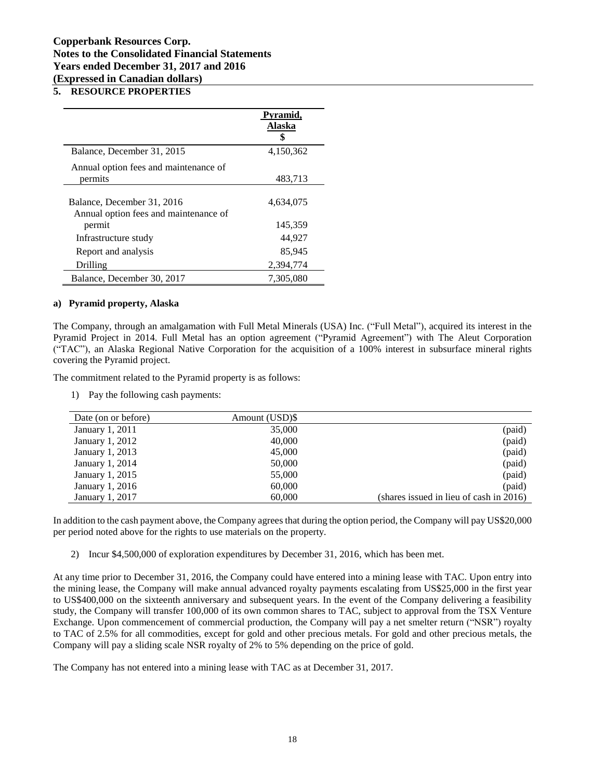# **5. RESOURCE PROPERTIES**

|                                                                     | Pyramid,<br>Alaska |
|---------------------------------------------------------------------|--------------------|
| Balance, December 31, 2015                                          | 4,150,362          |
| Annual option fees and maintenance of<br>permits                    | 483,713            |
| Balance, December 31, 2016<br>Annual option fees and maintenance of | 4.634.075          |
| permit                                                              | 145,359            |
| Infrastructure study                                                | 44,927             |
| Report and analysis                                                 | 85,945             |
| Drilling                                                            | 2,394,774          |
| Balance, December 30, 2017                                          | 7,305,080          |

#### **a) Pyramid property, Alaska**

The Company, through an amalgamation with Full Metal Minerals (USA) Inc. ("Full Metal"), acquired its interest in the Pyramid Project in 2014. Full Metal has an option agreement ("Pyramid Agreement") with The Aleut Corporation ("TAC"), an Alaska Regional Native Corporation for the acquisition of a 100% interest in subsurface mineral rights covering the Pyramid project.

The commitment related to the Pyramid property is as follows:

1) Pay the following cash payments:

| Date (on or before) | Amount (USD)\$ |                                         |
|---------------------|----------------|-----------------------------------------|
| January 1, 2011     | 35,000         | (paid)                                  |
| January 1, 2012     | 40,000         | (paid)                                  |
| January 1, 2013     | 45,000         | (paid)                                  |
| January 1, 2014     | 50,000         | (paid)                                  |
| January 1, 2015     | 55,000         | (paid)                                  |
| January 1, 2016     | 60,000         | (paid)                                  |
| January 1, 2017     | 60,000         | (shares issued in lieu of cash in 2016) |

In addition to the cash payment above, the Company agreesthat during the option period, the Company will pay US\$20,000 per period noted above for the rights to use materials on the property.

2) Incur \$4,500,000 of exploration expenditures by December 31, 2016, which has been met.

At any time prior to December 31, 2016, the Company could have entered into a mining lease with TAC. Upon entry into the mining lease, the Company will make annual advanced royalty payments escalating from US\$25,000 in the first year to US\$400,000 on the sixteenth anniversary and subsequent years. In the event of the Company delivering a feasibility study, the Company will transfer 100,000 of its own common shares to TAC, subject to approval from the TSX Venture Exchange. Upon commencement of commercial production, the Company will pay a net smelter return ("NSR") royalty to TAC of 2.5% for all commodities, except for gold and other precious metals. For gold and other precious metals, the Company will pay a sliding scale NSR royalty of 2% to 5% depending on the price of gold.

The Company has not entered into a mining lease with TAC as at December 31, 2017.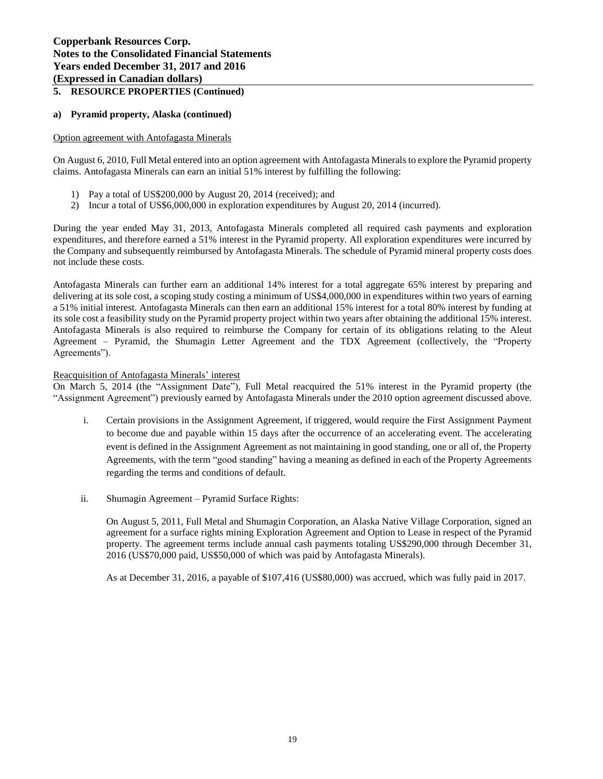# **5. RESOURCE PROPERTIES (Continued)**

# **a) Pyramid property, Alaska (continued)**

#### Option agreement with Antofagasta Minerals

On August 6, 2010, Full Metal entered into an option agreement with Antofagasta Mineralsto explore the Pyramid property claims. Antofagasta Minerals can earn an initial 51% interest by fulfilling the following:

- 1) Pay a total of US\$200,000 by August 20, 2014 (received); and
- 2) Incur a total of US\$6,000,000 in exploration expenditures by August 20, 2014 (incurred).

During the year ended May 31, 2013, Antofagasta Minerals completed all required cash payments and exploration expenditures, and therefore earned a 51% interest in the Pyramid property. All exploration expenditures were incurred by the Company and subsequently reimbursed by Antofagasta Minerals. The schedule of Pyramid mineral property costs does not include these costs.

Antofagasta Minerals can further earn an additional 14% interest for a total aggregate 65% interest by preparing and delivering at its sole cost, a scoping study costing a minimum of US\$4,000,000 in expenditures within two years of earning a 51% initial interest. Antofagasta Minerals can then earn an additional 15% interest for a total 80% interest by funding at its sole cost a feasibility study on the Pyramid property project within two years after obtaining the additional 15% interest. Antofagasta Minerals is also required to reimburse the Company for certain of its obligations relating to the Aleut Agreement – Pyramid, the Shumagin Letter Agreement and the TDX Agreement (collectively, the "Property Agreements").

# Reacquisition of Antofagasta Minerals' interest

On March 5, 2014 (the "Assignment Date"), Full Metal reacquired the 51% interest in the Pyramid property (the "Assignment Agreement") previously earned by Antofagasta Minerals under the 2010 option agreement discussed above.

- i. Certain provisions in the Assignment Agreement, if triggered, would require the First Assignment Payment to become due and payable within 15 days after the occurrence of an accelerating event. The accelerating event is defined in the Assignment Agreement as not maintaining in good standing, one or all of, the Property Agreements, with the term "good standing" having a meaning as defined in each of the Property Agreements regarding the terms and conditions of default.
- ii. Shumagin Agreement Pyramid Surface Rights:

On August 5, 2011, Full Metal and Shumagin Corporation, an Alaska Native Village Corporation, signed an agreement for a surface rights mining Exploration Agreement and Option to Lease in respect of the Pyramid property. The agreement terms include annual cash payments totaling US\$290,000 through December 31, 2016 (US\$70,000 paid, US\$50,000 of which was paid by Antofagasta Minerals).

As at December 31, 2016, a payable of \$107,416 (US\$80,000) was accrued, which was fully paid in 2017.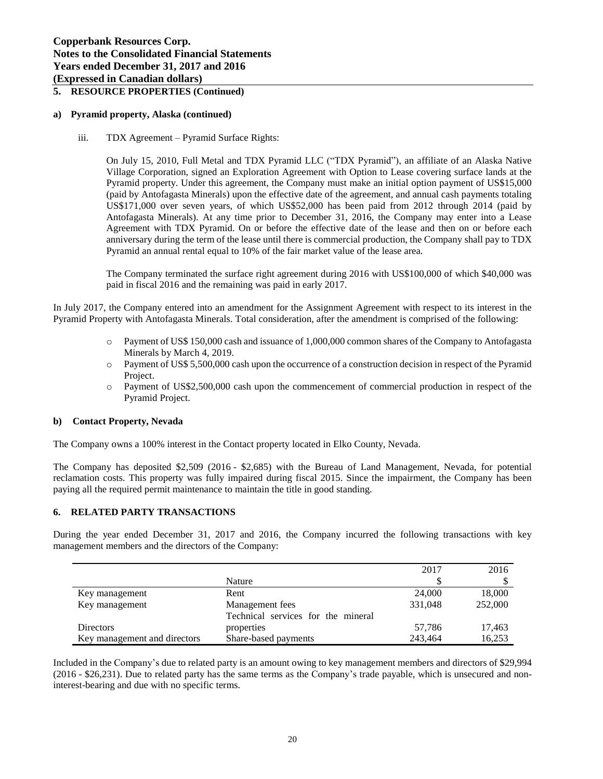# **5. RESOURCE PROPERTIES (Continued)**

#### **a) Pyramid property, Alaska (continued)**

iii. TDX Agreement – Pyramid Surface Rights:

On July 15, 2010, Full Metal and TDX Pyramid LLC ("TDX Pyramid"), an affiliate of an Alaska Native Village Corporation, signed an Exploration Agreement with Option to Lease covering surface lands at the Pyramid property. Under this agreement, the Company must make an initial option payment of US\$15,000 (paid by Antofagasta Minerals) upon the effective date of the agreement, and annual cash payments totaling US\$171,000 over seven years, of which US\$52,000 has been paid from 2012 through 2014 (paid by Antofagasta Minerals). At any time prior to December 31, 2016, the Company may enter into a Lease Agreement with TDX Pyramid. On or before the effective date of the lease and then on or before each anniversary during the term of the lease until there is commercial production, the Company shall pay to TDX Pyramid an annual rental equal to 10% of the fair market value of the lease area.

The Company terminated the surface right agreement during 2016 with US\$100,000 of which \$40,000 was paid in fiscal 2016 and the remaining was paid in early 2017.

In July 2017, the Company entered into an amendment for the Assignment Agreement with respect to its interest in the Pyramid Property with Antofagasta Minerals. Total consideration, after the amendment is comprised of the following:

- o Payment of US\$ 150,000 cash and issuance of 1,000,000 common shares of the Company to Antofagasta Minerals by March 4, 2019.
- o Payment of US\$ 5,500,000 cash upon the occurrence of a construction decision in respect of the Pyramid Project.
- o Payment of US\$2,500,000 cash upon the commencement of commercial production in respect of the Pyramid Project.

#### **b) Contact Property, Nevada**

The Company owns a 100% interest in the Contact property located in Elko County, Nevada.

The Company has deposited \$2,509 (2016 - \$2,685) with the Bureau of Land Management, Nevada, for potential reclamation costs. This property was fully impaired during fiscal 2015. Since the impairment, the Company has been paying all the required permit maintenance to maintain the title in good standing.

#### **6. RELATED PARTY TRANSACTIONS**

During the year ended December 31, 2017 and 2016, the Company incurred the following transactions with key management members and the directors of the Company:

|                              |                                    | 2017    | 2016    |
|------------------------------|------------------------------------|---------|---------|
|                              | Nature                             |         |         |
| Key management               | Rent                               | 24,000  | 18,000  |
| Key management               | Management fees                    | 331.048 | 252,000 |
|                              | Technical services for the mineral |         |         |
| <b>Directors</b>             | properties                         | 57.786  | 17,463  |
| Key management and directors | Share-based payments               | 243,464 | 16,253  |

Included in the Company's due to related party is an amount owing to key management members and directors of \$29,994 (2016 - \$26,231). Due to related party has the same terms as the Company's trade payable, which is unsecured and noninterest-bearing and due with no specific terms.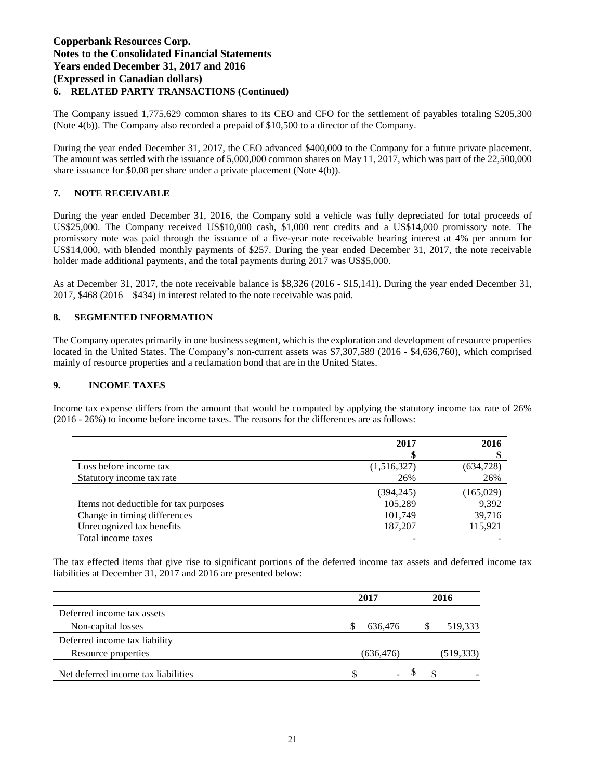## **6. RELATED PARTY TRANSACTIONS (Continued)**

The Company issued 1,775,629 common shares to its CEO and CFO for the settlement of payables totaling \$205,300 (Note 4(b)). The Company also recorded a prepaid of \$10,500 to a director of the Company.

During the year ended December 31, 2017, the CEO advanced \$400,000 to the Company for a future private placement. The amount was settled with the issuance of 5,000,000 common shares on May 11, 2017, which was part of the 22,500,000 share issuance for \$0.08 per share under a private placement (Note 4(b)).

# **7. NOTE RECEIVABLE**

During the year ended December 31, 2016, the Company sold a vehicle was fully depreciated for total proceeds of US\$25,000. The Company received US\$10,000 cash, \$1,000 rent credits and a US\$14,000 promissory note. The promissory note was paid through the issuance of a five-year note receivable bearing interest at 4% per annum for US\$14,000, with blended monthly payments of \$257. During the year ended December 31, 2017, the note receivable holder made additional payments, and the total payments during 2017 was US\$5,000.

As at December 31, 2017, the note receivable balance is \$8,326 (2016 - \$15,141). During the year ended December 31, 2017, \$468 (2016 – \$434) in interest related to the note receivable was paid.

# **8. SEGMENTED INFORMATION**

The Company operates primarily in one business segment, which is the exploration and development of resource properties located in the United States. The Company's non-current assets was \$7,307,589 (2016 - \$4,636,760), which comprised mainly of resource properties and a reclamation bond that are in the United States.

#### **9. INCOME TAXES**

Income tax expense differs from the amount that would be computed by applying the statutory income tax rate of 26% (2016 - 26%) to income before income taxes. The reasons for the differences are as follows:

|                                       | 2017<br>\$  | 2016       |
|---------------------------------------|-------------|------------|
| Loss before income tax                | (1,516,327) | (634, 728) |
| Statutory income tax rate             | 26%         | 26%        |
|                                       | (394, 245)  | (165,029)  |
| Items not deductible for tax purposes | 105,289     | 9,392      |
| Change in timing differences          | 101,749     | 39,716     |
| Unrecognized tax benefits             | 187,207     | 115,921    |
| Total income taxes                    |             |            |

The tax effected items that give rise to significant portions of the deferred income tax assets and deferred income tax liabilities at December 31, 2017 and 2016 are presented below:

|                                     | 2017                     | 2016 |         |
|-------------------------------------|--------------------------|------|---------|
| Deferred income tax assets          |                          |      |         |
| Non-capital losses                  | 636,476<br>S             |      | 519,333 |
| Deferred income tax liability       |                          |      |         |
| Resource properties                 | (636, 476)               |      |         |
| Net deferred income tax liabilities | $\overline{\phantom{a}}$ |      |         |
|                                     |                          |      |         |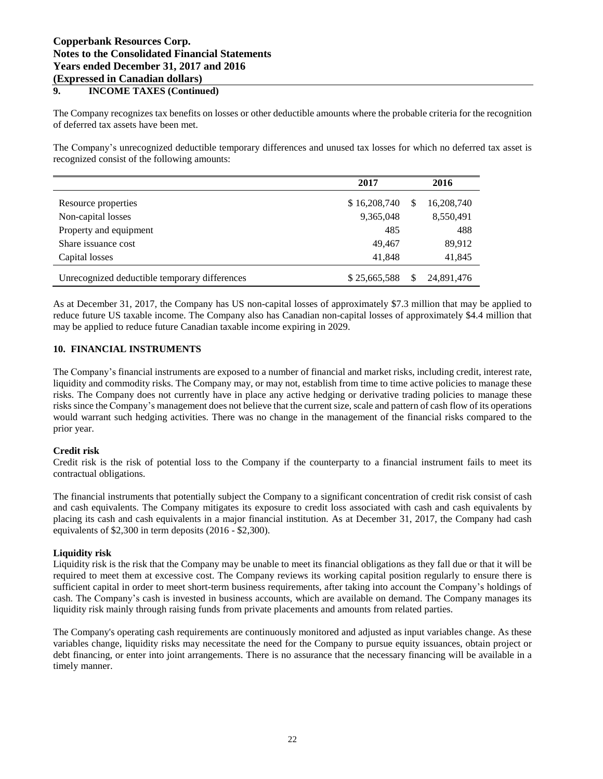# **9. INCOME TAXES (Continued)**

The Company recognizes tax benefits on losses or other deductible amounts where the probable criteria for the recognition of deferred tax assets have been met.

The Company's unrecognized deductible temporary differences and unused tax losses for which no deferred tax asset is recognized consist of the following amounts:

|                                               | 2017         |   |            |
|-----------------------------------------------|--------------|---|------------|
| Resource properties                           | \$16,208,740 | S | 16,208,740 |
| Non-capital losses                            | 9,365,048    |   | 8,550,491  |
| Property and equipment                        | 485          |   | 488        |
| Share issuance cost                           | 49.467       |   | 89,912     |
| Capital losses                                | 41,848       |   | 41,845     |
| Unrecognized deductible temporary differences | \$25,665,588 |   | 24,891,476 |

As at December 31, 2017, the Company has US non-capital losses of approximately \$7.3 million that may be applied to reduce future US taxable income. The Company also has Canadian non-capital losses of approximately \$4.4 million that may be applied to reduce future Canadian taxable income expiring in 2029.

# **10. FINANCIAL INSTRUMENTS**

The Company's financial instruments are exposed to a number of financial and market risks, including credit, interest rate, liquidity and commodity risks. The Company may, or may not, establish from time to time active policies to manage these risks. The Company does not currently have in place any active hedging or derivative trading policies to manage these risks since the Company's management does not believe that the current size, scale and pattern of cash flow of its operations would warrant such hedging activities. There was no change in the management of the financial risks compared to the prior year.

# **Credit risk**

Credit risk is the risk of potential loss to the Company if the counterparty to a financial instrument fails to meet its contractual obligations.

The financial instruments that potentially subject the Company to a significant concentration of credit risk consist of cash and cash equivalents. The Company mitigates its exposure to credit loss associated with cash and cash equivalents by placing its cash and cash equivalents in a major financial institution. As at December 31, 2017, the Company had cash equivalents of \$2,300 in term deposits (2016 - \$2,300).

#### **Liquidity risk**

Liquidity risk is the risk that the Company may be unable to meet its financial obligations as they fall due or that it will be required to meet them at excessive cost. The Company reviews its working capital position regularly to ensure there is sufficient capital in order to meet short-term business requirements, after taking into account the Company's holdings of cash. The Company's cash is invested in business accounts, which are available on demand. The Company manages its liquidity risk mainly through raising funds from private placements and amounts from related parties.

The Company's operating cash requirements are continuously monitored and adjusted as input variables change. As these variables change, liquidity risks may necessitate the need for the Company to pursue equity issuances, obtain project or debt financing, or enter into joint arrangements. There is no assurance that the necessary financing will be available in a timely manner.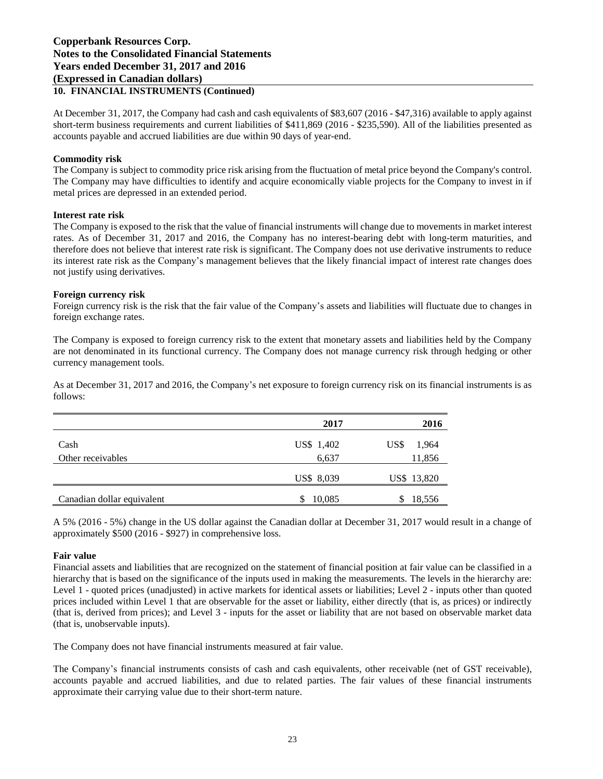# **10. FINANCIAL INSTRUMENTS (Continued)**

At December 31, 2017, the Company had cash and cash equivalents of \$83,607 (2016 - \$47,316) available to apply against short-term business requirements and current liabilities of \$411,869 (2016 - \$235,590). All of the liabilities presented as accounts payable and accrued liabilities are due within 90 days of year-end.

# **Commodity risk**

The Company is subject to commodity price risk arising from the fluctuation of metal price beyond the Company's control. The Company may have difficulties to identify and acquire economically viable projects for the Company to invest in if metal prices are depressed in an extended period.

#### **Interest rate risk**

The Company is exposed to the risk that the value of financial instruments will change due to movements in market interest rates. As of December 31, 2017 and 2016, the Company has no interest-bearing debt with long-term maturities, and therefore does not believe that interest rate risk is significant. The Company does not use derivative instruments to reduce its interest rate risk as the Company's management believes that the likely financial impact of interest rate changes does not justify using derivatives.

# **Foreign currency risk**

Foreign currency risk is the risk that the fair value of the Company's assets and liabilities will fluctuate due to changes in foreign exchange rates.

The Company is exposed to foreign currency risk to the extent that monetary assets and liabilities held by the Company are not denominated in its functional currency. The Company does not manage currency risk through hedging or other currency management tools.

As at December 31, 2017 and 2016, the Company's net exposure to foreign currency risk on its financial instruments is as follows:

|                            | 2017       | 2016          |
|----------------------------|------------|---------------|
| Cash                       | US\$ 1,402 | US\$<br>1,964 |
| Other receivables          | 6,637      | 11,856        |
|                            | US\$ 8,039 | US\$ 13,820   |
| Canadian dollar equivalent | 10,085     | 18,556        |

A 5% (2016 - 5%) change in the US dollar against the Canadian dollar at December 31, 2017 would result in a change of approximately \$500 (2016 - \$927) in comprehensive loss.

#### **Fair value**

Financial assets and liabilities that are recognized on the statement of financial position at fair value can be classified in a hierarchy that is based on the significance of the inputs used in making the measurements. The levels in the hierarchy are: Level 1 - quoted prices (unadjusted) in active markets for identical assets or liabilities; Level 2 - inputs other than quoted prices included within Level 1 that are observable for the asset or liability, either directly (that is, as prices) or indirectly (that is, derived from prices); and Level 3 - inputs for the asset or liability that are not based on observable market data (that is, unobservable inputs).

The Company does not have financial instruments measured at fair value.

The Company's financial instruments consists of cash and cash equivalents, other receivable (net of GST receivable), accounts payable and accrued liabilities, and due to related parties. The fair values of these financial instruments approximate their carrying value due to their short-term nature.